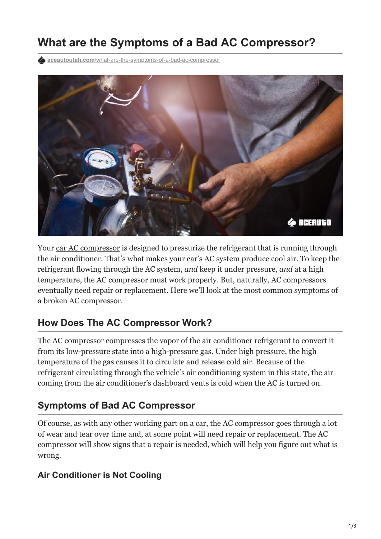# **What are the Symptoms of a Bad AC Compressor?**

**aceautoutah.com**[/what-are-the-symptoms-of-a-bad-ac-compressor](https://aceautoutah.com/what-are-the-symptoms-of-a-bad-ac-compressor/)



Your [car AC compressor](https://aceautoutah.com/car-air-conditioner-repair-and-recharge-utah/) is designed to pressurize the refrigerant that is running through the air conditioner. That's what makes your car's AC system produce cool air. To keep the refrigerant flowing through the AC system, *and* keep it under pressure, *and* at a high temperature, the AC compressor must work properly. But, naturally, AC compressors eventually need repair or replacement. Here we'll look at the most common symptoms of a broken AC compressor.

# **How Does The AC Compressor Work?**

The AC compressor compresses the vapor of the air conditioner refrigerant to convert it from its low-pressure state into a high-pressure gas. Under high pressure, the high temperature of the gas causes it to circulate and release cold air. Because of the refrigerant circulating through the vehicle's air conditioning system in this state, the air coming from the air conditioner's dashboard vents is cold when the AC is turned on.

# **Symptoms of Bad AC Compressor**

Of course, as with any other working part on a car, the AC compressor goes through a lot of wear and tear over time and, at some point will need repair or replacement. The AC compressor will show signs that a repair is needed, which will help you figure out what is wrong.

#### **Air Conditioner is Not Cooling**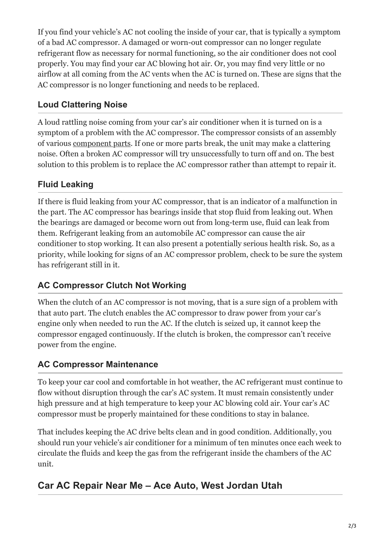If you find your vehicle's AC not cooling the inside of your car, that is typically a symptom of a bad AC compressor. A damaged or worn-out compressor can no longer regulate refrigerant flow as necessary for normal functioning, so the air conditioner does not cool properly. You may find your car AC blowing hot air. Or, you may find very little or no airflow at all coming from the AC vents when the AC is turned on. These are signs that the AC compressor is no longer functioning and needs to be replaced.

#### **Loud Clattering Noise**

A loud rattling noise coming from your car's air conditioner when it is turned on is a symptom of a problem with the AC compressor. The compressor consists of an assembly of various [component parts](https://aceautoutah.com/oem-vs-aftermarket-car-parts-comparing-and-contrasting/). If one or more parts break, the unit may make a clattering noise. Often a broken AC compressor will try unsuccessfully to turn off and on. The best solution to this problem is to replace the AC compressor rather than attempt to repair it.

## **Fluid Leaking**

If there is fluid leaking from your AC compressor, that is an indicator of a malfunction in the part. The AC compressor has bearings inside that stop fluid from leaking out. When the bearings are damaged or become worn out from long-term use, fluid can leak from them. Refrigerant leaking from an automobile AC compressor can cause the air conditioner to stop working. It can also present a potentially serious health risk. So, as a priority, while looking for signs of an AC compressor problem, check to be sure the system has refrigerant still in it.

#### **AC Compressor Clutch Not Working**

When the clutch of an AC compressor is not moving, that is a sure sign of a problem with that auto part. The clutch enables the AC compressor to draw power from your car's engine only when needed to run the AC. If the clutch is seized up, it cannot keep the compressor engaged continuously. If the clutch is broken, the compressor can't receive power from the engine.

## **AC Compressor Maintenance**

To keep your car cool and comfortable in hot weather, the AC refrigerant must continue to flow without disruption through the car's AC system. It must remain consistently under high pressure and at high temperature to keep your AC blowing cold air. Your car's AC compressor must be properly maintained for these conditions to stay in balance.

That includes keeping the AC drive belts clean and in good condition. Additionally, you should run your vehicle's air conditioner for a minimum of ten minutes once each week to circulate the fluids and keep the gas from the refrigerant inside the chambers of the AC unit.

# **Car AC Repair Near Me – Ace Auto, West Jordan Utah**